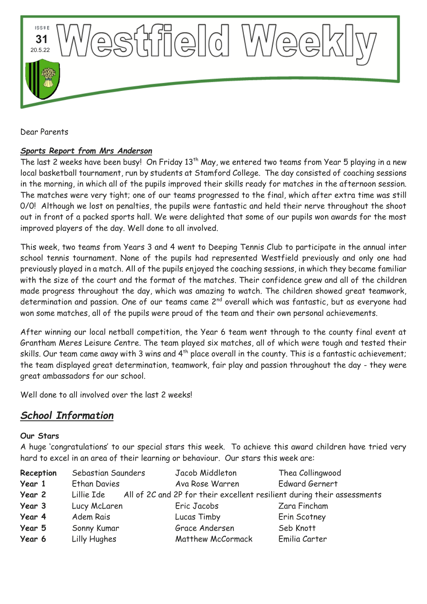

Dear Parents

# *Sports Report from Mrs Anderson*

The last 2 weeks have been busy! On Friday 13<sup>th</sup> May, we entered two teams from Year 5 playing in a new local basketball tournament, run by students at Stamford College. The day consisted of coaching sessions in the morning, in which all of the pupils improved their skills ready for matches in the afternoon session. The matches were very tight; one of our teams progressed to the final, which after extra time was still 0/0! Although we lost on penalties, the pupils were fantastic and held their nerve throughout the shoot out in front of a packed sports hall. We were delighted that some of our pupils won awards for the most improved players of the day. Well done to all involved.

This week, two teams from Years 3 and 4 went to Deeping Tennis Club to participate in the annual inter school tennis tournament. None of the pupils had represented Westfield previously and only one had previously played in a match. All of the pupils enjoyed the coaching sessions, in which they became familiar with the size of the court and the format of the matches. Their confidence grew and all of the children made progress throughout the day, which was amazing to watch. The children showed great teamwork, determination and passion. One of our teams came 2<sup>nd</sup> overall which was fantastic, but as everyone had won some matches, all of the pupils were proud of the team and their own personal achievements.

After winning our local netball competition, the Year 6 team went through to the county final event at Grantham Meres Leisure Centre. The team played six matches, all of which were tough and tested their skills. Our team came away with 3 wins and 4<sup>th</sup> place overall in the county. This is a fantastic achievement; the team displayed great determination, teamwork, fair play and passion throughout the day - they were great ambassadors for our school.

Well done to all involved over the last 2 weeks!

# *School Information*

# **Our Stars**

A huge 'congratulations' to our special stars this week. To achieve this award children have tried very hard to excel in an area of their learning or behaviour. Our stars this week are:

| Reception | Sebastian Saunders  | Jacob Middleton          | Thea Collingwood                                                        |
|-----------|---------------------|--------------------------|-------------------------------------------------------------------------|
| Year 1    | <b>Ethan Davies</b> | Ava Rose Warren          | <b>Edward Gernert</b>                                                   |
| Year 2    | Lillie Ide          |                          | All of 2C and 2P for their excellent resilient during their assessments |
| Year 3    | Lucy McLaren        | Eric Jacobs              | Zara Fincham                                                            |
| Year 4    | Adem Rais           | Lucas Timby              | Erin Scotney                                                            |
| Year 5    | Sonny Kumar         | Grace Andersen           | Seb Knott                                                               |
| Year 6    | Lilly Hughes        | <b>Matthew McCormack</b> | Emilia Carter                                                           |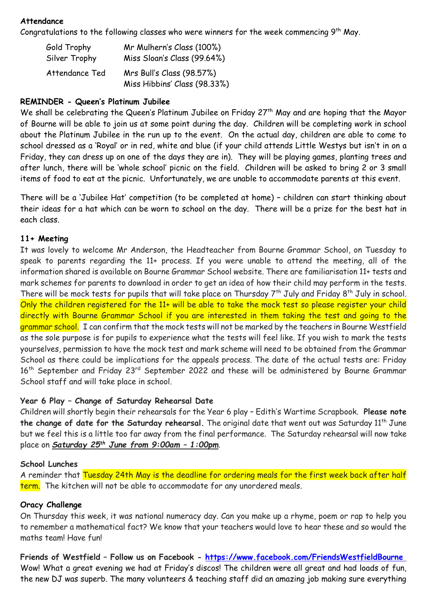#### **Attendance**

Congratulations to the following classes who were winners for the week commencing  $9^{\text{th}}$  May.

| Gold Trophy    | Mr Mulhern's Class (100%)                                 |  |
|----------------|-----------------------------------------------------------|--|
| Silver Trophy  | Miss Sloan's Class (99.64%)                               |  |
| Attendance Ted | Mrs Bull's Class (98.57%)<br>Miss Hibbins' Class (98.33%) |  |

# **REMINDER - Queen's Platinum Jubilee**

We shall be celebrating the Queen's Platinum Jubilee on Friday 27<sup>th</sup> May and are hoping that the Mayor of Bourne will be able to join us at some point during the day. Children will be completing work in school about the Platinum Jubilee in the run up to the event. On the actual day, children are able to come to school dressed as a 'Royal' or in red, white and blue (if your child attends Little Westys but isn't in on a Friday, they can dress up on one of the days they are in). They will be playing games, planting trees and after lunch, there will be 'whole school' picnic on the field. Children will be asked to bring 2 or 3 small items of food to eat at the picnic. Unfortunately, we are unable to accommodate parents at this event.

There will be a 'Jubilee Hat' competition (to be completed at home) – children can start thinking about their ideas for a hat which can be worn to school on the day. There will be a prize for the best hat in each class.

# **11+ Meeting**

It was lovely to welcome Mr Anderson, the Headteacher from Bourne Grammar School, on Tuesday to speak to parents regarding the 11+ process. If you were unable to attend the meeting, all of the information shared is available on Bourne Grammar School website. There are familiarisation 11+ tests and mark schemes for parents to download in order to get an idea of how their child may perform in the tests. There will be mock tests for pupils that will take place on Thursday 7<sup>th</sup> July and Friday 8<sup>th</sup> July in school. Only the children registered for the 11+ will be able to take the mock test so please register your child directly with Bourne Grammar School if you are interested in them taking the test and going to the grammar school. I can confirm that the mock tests will not be marked by the teachers in Bourne Westfield as the sole purpose is for pupils to experience what the tests will feel like. If you wish to mark the tests yourselves, permission to have the mock test and mark scheme will need to be obtained from the Grammar School as there could be implications for the appeals process. The date of the actual tests are: Friday 16<sup>th</sup> September and Friday 23<sup>rd</sup> September 2022 and these will be administered by Bourne Grammar School staff and will take place in school.

#### **Year 6 Play – Change of Saturday Rehearsal Date**

Children will shortly begin their rehearsals for the Year 6 play – Edith's Wartime Scrapbook. **Please note**  the change of date for the Saturday rehearsal. The original date that went out was Saturday 11<sup>th</sup> June but we feel this is a little too far away from the final performance. The Saturday rehearsal will now take place on *Saturday 25th June from 9:00am – 1:00pm*.

#### **School Lunches**

A reminder that Tuesday 24th May is the deadline for ordering meals for the first week back after half term. The kitchen will not be able to accommodate for any unordered meals.

#### **Oracy Challenge**

On Thursday this week, it was national numeracy day. Can you make up a rhyme, poem or rap to help you to remember a mathematical fact? We know that your teachers would love to hear these and so would the maths team! Have fun!

**Friends of Westfield – Follow us on Facebook - <https://www.facebook.com/FriendsWestfieldBourne>** Wow! What a great evening we had at Friday's discos! The children were all great and had loads of fun, the new DJ was superb. The many volunteers & teaching staff did an amazing job making sure everything